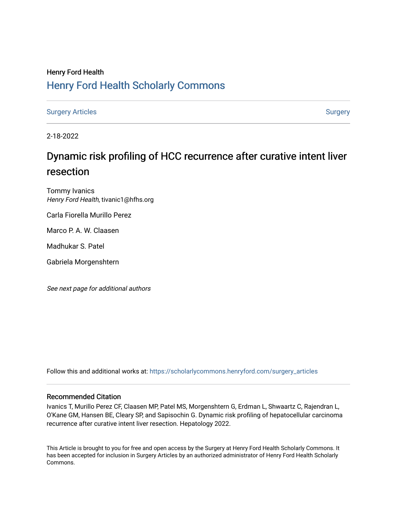## Henry Ford Health [Henry Ford Health Scholarly Commons](https://scholarlycommons.henryford.com/)

[Surgery Articles](https://scholarlycommons.henryford.com/surgery_articles) **[Surgery](https://scholarlycommons.henryford.com/surgery) Articles** Surgery

2-18-2022

## Dynamic risk profiling of HCC recurrence after curative intent liver resection

Tommy Ivanics Henry Ford Health, tivanic1@hfhs.org

Carla Fiorella Murillo Perez

Marco P. A. W. Claasen

Madhukar S. Patel

Gabriela Morgenshtern

See next page for additional authors

Follow this and additional works at: [https://scholarlycommons.henryford.com/surgery\\_articles](https://scholarlycommons.henryford.com/surgery_articles?utm_source=scholarlycommons.henryford.com%2Fsurgery_articles%2F565&utm_medium=PDF&utm_campaign=PDFCoverPages)

### Recommended Citation

Ivanics T, Murillo Perez CF, Claasen MP, Patel MS, Morgenshtern G, Erdman L, Shwaartz C, Rajendran L, O'Kane GM, Hansen BE, Cleary SP, and Sapisochin G. Dynamic risk profiling of hepatocellular carcinoma recurrence after curative intent liver resection. Hepatology 2022.

This Article is brought to you for free and open access by the Surgery at Henry Ford Health Scholarly Commons. It has been accepted for inclusion in Surgery Articles by an authorized administrator of Henry Ford Health Scholarly Commons.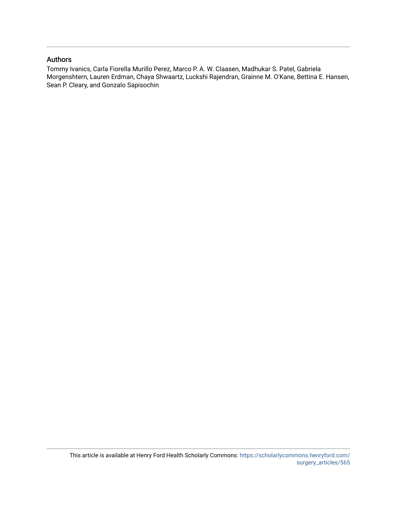### Authors

Tommy Ivanics, Carla Fiorella Murillo Perez, Marco P. A. W. Claasen, Madhukar S. Patel, Gabriela Morgenshtern, Lauren Erdman, Chaya Shwaartz, Luckshi Rajendran, Grainne M. O'Kane, Bettina E. Hansen, Sean P. Cleary, and Gonzalo Sapisochin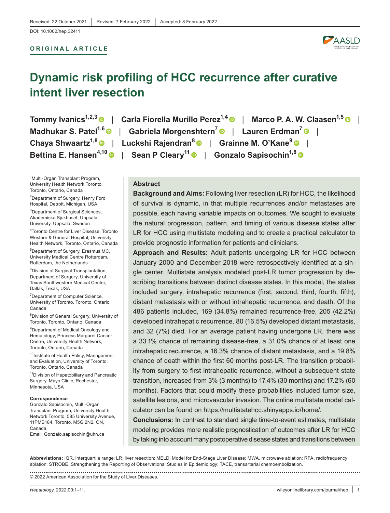#### **ORIGINAL ARTICLE**



# **Dynamic risk profiling of HCC recurrence after curative intent liver resection**

1 Multi-Organ Transplant Program, University Health Network Toronto, Toronto, Ontario, Canada

<sup>2</sup>Department of Surgery, Henry Ford Hospital, Detroit, Michigan, USA

3 Department of Surgical Sciences, Akademiska Sjukhuset, Uppsala University, Uppsala, Sweden

4 Toronto Centre for Liver Disease, Toronto Western & General Hospital, University Health Network, Toronto, Ontario, Canada

5 Department of Surgery, Erasmus MC, University Medical Centre Rotterdam, Rotterdam, the Netherlands

6 Division of Surgical Transplantation, Department of Surgery, University of Texas Southwestern Medical Center, Dallas, Texas, USA

<sup>7</sup>Department of Computer Science, University of Toronto, Toronto, Ontario, Canada

8 Division of General Surgery, University of Toronto, Toronto, Ontario, Canada

<sup>9</sup>Department of Medical Oncology and Hematology, Princess Margaret Cancer Centre, University Health Network, Toronto, Ontario, Canada

<sup>10</sup>Institute of Health Policy, Management and Evaluation, University of Toronto, Toronto, Ontario, Canada

<sup>11</sup>Division of Hepatobiliary and Pancreatic Surgery, Mayo Clinic, Rochester, Minnesota, USA

#### **Correspondence**

Gonzalo Sapisochin, Multi-Organ Transplant Program, University Health Network Toronto, 585 University Avenue, 11PMB184, Toronto, M5G 2N2, ON, Canada.

Email: [Gonzalo.sapisochin@uhn.ca](mailto:Gonzalo.sapisochin@uhn.ca)

**Tommy Ivanics<sup>1,2,3</sup> | Carla Fiorella Murillo Perez<sup>1,[4](https://orcid.org/0000-0001-7634-4537)</sup> | Marco P. A. W. Claasen<sup>1,5</sup> | Murillo Perezi A. W. 2013 Madhukar S. Patel<sup>1,6</sup> | Gabriela Morgenshtern<sup>7</sup> | Lauren Erdman<sup>7</sup> | <b>| Chaya Shwaartz1,[8](https://orcid.org/0000-0003-2841-9834)** | **Luckshi Rajendran<sup>8</sup>** | **Grainne M. O'Kane<sup>9</sup>** | **Bettina E. Hansen4,10** | **Sean P Cleary1[1](https://orcid.org/0000-0002-5274-9983)** | **Gonzalo Sapisochin1,8**

## **Abstract**

**Background and Aims:** Following liver resection (LR) for HCC, the likelihood of survival is dynamic, in that multiple recurrences and/or metastases are possible, each having variable impacts on outcomes. We sought to evaluate the natural progression, pattern, and timing of various disease states after LR for HCC using multistate modeling and to create a practical calculator to provide prognostic information for patients and clinicians.

**Approach and Results:** Adult patients undergoing LR for HCC between January 2000 and December 2018 were retrospectively identified at a single center. Multistate analysis modeled post-LR tumor progression by describing transitions between distinct disease states. In this model, the states included surgery, intrahepatic recurrence (first, second, third, fourth, fifth), distant metastasis with or without intrahepatic recurrence, and death. Of the 486 patients included, 169 (34.8%) remained recurrence-free, 205 (42.2%) developed intrahepatic recurrence, 80 (16.5%) developed distant metastasis, and 32 (7%) died. For an average patient having undergone LR, there was a 33.1% chance of remaining disease-free, a 31.0% chance of at least one intrahepatic recurrence, a 16.3% chance of distant metastasis, and a 19.8% chance of death within the first 60 months post-LR. The transition probability from surgery to first intrahepatic recurrence, without a subsequent state transition, increased from 3% (3 months) to 17.4% (30 months) and 17.2% (60 months). Factors that could modify these probabilities included tumor size, satellite lesions, and microvascular invasion. The online multistate model calculator can be found on <https://multistatehcc.shinyapps.io/home/>.

**Conclusions:** In contrast to standard single time-to-event estimates, multistate modeling provides more realistic prognostication of outcomes after LR for HCC by taking into account many postoperative disease states and transitions between

**Abbreviations:** IQR, interquartile range; LR, liver resection; MELD, Model for End-Stage Liver Disease; MWA, microwave ablation; RFA, radiofrequency ablation; STROBE, Strengthening the Reporting of Observational Studies in Epidemiology; TACE, transarterial chemoembolization.

© 2022 American Association for the Study of Liver Diseases.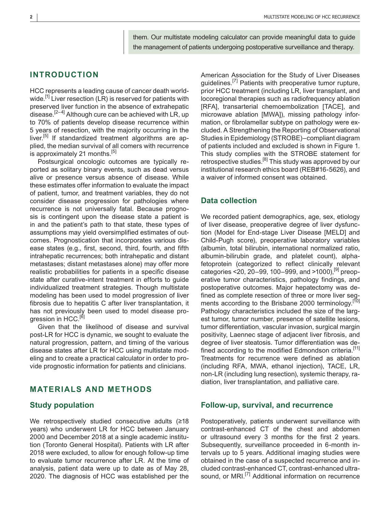them. Our multistate modeling calculator can provide meaningful data to guide the management of patients undergoing postoperative surveillance and therapy.

## **INTRODUCTION**

HCC represents a leading cause of cancer death worldwide.<sup>[1]</sup> Liver resection (LR) is reserved for patients with preserved liver function in the absence of extrahepatic disease.<sup>[2–4]</sup> Although cure can be achieved with LR, up to 70% of patients develop disease recurrence within 5 years of resection, with the majority occurring in the liver.<sup>[5]</sup> If standardized treatment algorithms are applied, the median survival of all comers with recurrence is approximately 21 months.<sup>[5]</sup>

Postsurgical oncologic outcomes are typically reported as solitary binary events, such as dead versus alive or presence versus absence of disease. While these estimates offer information to evaluate the impact of patient, tumor, and treatment variables, they do not consider disease progression for pathologies where recurrence is not universally fatal. Because prognosis is contingent upon the disease state a patient is in and the patient's path to that state, these types of assumptions may yield oversimplified estimates of outcomes. Prognostication that incorporates various disease states (e.g., first, second, third, fourth, and fifth intrahepatic recurrences; both intrahepatic and distant metastases; distant metastases alone) may offer more realistic probabilities for patients in a specific disease state after curative-intent treatment in efforts to guide individualized treatment strategies. Though multistate modeling has been used to model progression of liver fibrosis due to hepatitis C after liver transplantation, it has not previously been used to model disease progression in HCC.<sup>[6]</sup>

Given that the likelihood of disease and survival post-LR for HCC is dynamic, we sought to evaluate the natural progression, pattern, and timing of the various disease states after LR for HCC using multistate modeling and to create a practical calculator in order to provide prognostic information for patients and clinicians.

## **MATERIALS AND METHODS**

#### **Study population**

We retrospectively studied consecutive adults (≥18 years) who underwent LR for HCC between January 2000 and December 2018 at a single academic institution (Toronto General Hospital). Patients with LR after 2018 were excluded, to allow for enough follow-up time to evaluate tumor recurrence after LR. At the time of analysis, patient data were up to date as of May 28, 2020. The diagnosis of HCC was established per the

American Association for the Study of Liver Diseases guidelines.<sup>[7]</sup> Patients with preoperative tumor rupture, prior HCC treatment (including LR, liver transplant, and locoregional therapies such as radiofrequency ablation [RFA], transarterial chemoembolization [TACE], and microwave ablation [MWA]), missing pathology information, or fibrolamellar subtype on pathology were excluded. A Strengthening the Reporting of Observational Studies in Epidemiology (STROBE)–compliant diagram of patients included and excluded is shown in Figure 1. This study complies with the STROBE statement for retrospective studies.<sup>[8]</sup> This study was approved by our institutional research ethics board (REB#16-5626), and a waiver of informed consent was obtained.

## **Data collection**

We recorded patient demographics, age, sex, etiology of liver disease, preoperative degree of liver dysfunction (Model for End-stage Liver Disease [MELD] and Child-Pugh score), preoperative laboratory variables (albumin, total bilirubin, international normalized ratio, albumin-bilirubin grade, and platelet count), alphafetoprotein (categorized to reflect clinically relevant categories <20, 20–99, 100–999, and >1000),<sup>[9]</sup> preoperative tumor characteristics, pathology findings, and postoperative outcomes. Major hepatectomy was defined as complete resection of three or more liver segments according to the Brisbane 2000 terminology.<sup>[10]</sup> Pathology characteristics included the size of the largest tumor, tumor number, presence of satellite lesions, tumor differentiation, vascular invasion, surgical margin positivity, Laennec stage of adjacent liver fibrosis, and degree of liver steatosis. Tumor differentiation was defined according to the modified Edmondson criteria.<sup>[11]</sup> Treatments for recurrence were defined as ablation (including RFA, MWA, ethanol injection), TACE, LR, non-LR (including lung resection), systemic therapy, radiation, liver transplantation, and palliative care.

#### **Follow-up, survival, and recurrence**

Postoperatively, patients underwent surveillance with contrast-enhanced CT of the chest and abdomen or ultrasound every 3 months for the first 2 years. Subsequently, surveillance proceeded in 6-month intervals up to 5 years. Additional imaging studies were obtained in the case of a suspected recurrence and included contrast-enhanced CT, contrast-enhanced ultrasound, or MRI.<sup>[7]</sup> Additional information on recurrence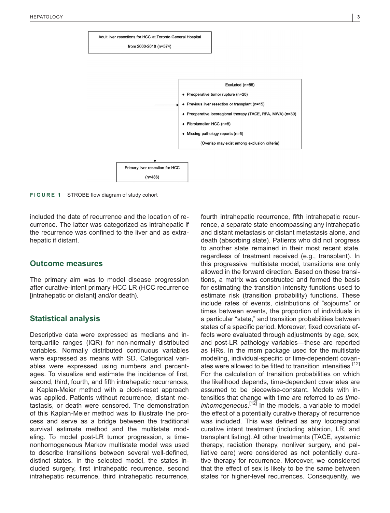

**FIGURE 1** STROBE flow diagram of study cohort

included the date of recurrence and the location of recurrence. The latter was categorized as intrahepatic if the recurrence was confined to the liver and as extrahepatic if distant.

#### **Outcome measures**

The primary aim was to model disease progression after curative-intent primary HCC LR (HCC recurrence [intrahepatic or distant] and/or death).

### **Statistical analysis**

Descriptive data were expressed as medians and interquartile ranges (IQR) for non-normally distributed variables. Normally distributed continuous variables were expressed as means with SD. Categorical variables were expressed using numbers and percentages. To visualize and estimate the incidence of first, second, third, fourth, and fifth intrahepatic recurrences, a Kaplan-Meier method with a clock-reset approach was applied. Patients without recurrence, distant metastasis, or death were censored. The demonstration of this Kaplan-Meier method was to illustrate the process and serve as a bridge between the traditional survival estimate method and the multistate modeling. To model post-LR tumor progression, a timenonhomogeneous Markov multistate model was used to describe transitions between several well-defined, distinct states. In the selected model, the states included surgery, first intrahepatic recurrence, second intrahepatic recurrence, third intrahepatic recurrence,

fourth intrahepatic recurrence, fifth intrahepatic recurrence, a separate state encompassing any intrahepatic and distant metastasis or distant metastasis alone, and death (absorbing state). Patients who did not progress to another state remained in their most recent state, regardless of treatment received (e.g., transplant). In this progressive multistate model, transitions are only allowed in the forward direction. Based on these transitions, a matrix was constructed and formed the basis for estimating the transition intensity functions used to estimate risk (transition probability) functions. These include rates of events, distributions of "sojourns" or times between events, the proportion of individuals in a particular "state," and transition probabilities between states of a specific period. Moreover, fixed covariate effects were evaluated through adjustments by age, sex, and post-LR pathology variables—these are reported as HRs. In the msm package used for the multistate modeling, individual-specific or time-dependent covariates were allowed to be fitted to transition intensities.<sup>[12]</sup> For the calculation of transition probabilities on which the likelihood depends, time-dependent covariates are assumed to be piecewise-constant. Models with intensities that change with time are referred to as *time*inhomogeneous.<sup>[12]</sup> In the models, a variable to model the effect of a potentially curative therapy of recurrence was included. This was defined as any locoregional curative intent treatment (including ablation, LR, and transplant listing). All other treatments (TACE, systemic therapy, radiation therapy, nonliver surgery, and palliative care) were considered as not potentially curative therapy for recurrence. Moreover, we considered that the effect of sex is likely to be the same between states for higher-level recurrences. Consequently, we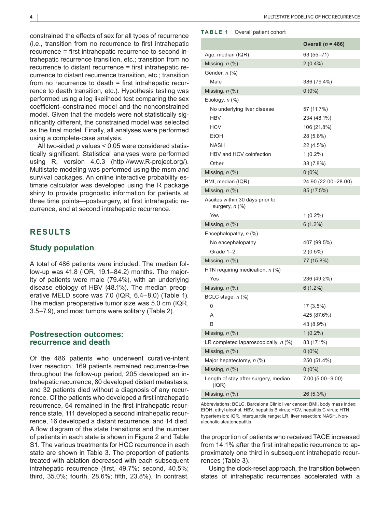constrained the effects of sex for all types of recurrence (i.e., transition from no recurrence to first intrahepatic recurrence = first intrahepatic recurrence to second intrahepatic recurrence transition, etc.; transition from no recurrence to distant recurrence = first intrahepatic recurrence to distant recurrence transition, etc.; transition from no recurrence to death = first intrahepatic recurrence to death transition, etc.). Hypothesis testing was performed using a log likelihood test comparing the sex coefficient–constrained model and the nonconstrained model. Given that the models were not statistically significantly different, the constrained model was selected as the final model. Finally, all analyses were performed using a complete-case analysis.

All two-sided *p* values < 0.05 were considered statistically significant. Statistical analyses were performed using R, version 4.0.3 (<http://www.R-project.org/>). Multistate modeling was performed using the msm and survival packages. An online interactive probability estimate calculator was developed using the R package shiny to provide prognostic information for patients at three time points—postsurgery, at first intrahepatic recurrence, and at second intrahepatic recurrence.

## **RESULTS**

#### **Study population**

A total of 486 patients were included. The median follow-up was 41.8 (IQR, 19.1–84.2) months. The majority of patients were male (79.4%), with an underlying disease etiology of HBV (48.1%). The median preoperative MELD score was 7.0 (IQR, 6.4–8.0) (Table 1). The median preoperative tumor size was 5.0 cm (IQR, 3.5–7.9), and most tumors were solitary (Table 2).

#### **Postresection outcomes: recurrence and death**

Of the 486 patients who underwent curative-intent liver resection, 169 patients remained recurrence-free throughout the follow-up period, 205 developed an intrahepatic recurrence, 80 developed distant metastasis, and 32 patients died without a diagnosis of any recurrence. Of the patients who developed a first intrahepatic recurrence, 64 remained in the first intrahepatic recurrence state, 111 developed a second intrahepatic recurrence, 16 developed a distant recurrence, and 14 died. A flow diagram of the state transitions and the number of patients in each state is shown in Figure 2 and Table S1. The various treatments for HCC recurrence in each state are shown in Table 3. The proportion of patients treated with ablation decreased with each subsequent intrahepatic recurrence (first, 49.7%; second, 40.5%; third, 35.0%; fourth, 28.6%; fifth, 23.8%). In contrast,

#### **TABLE 1** Overall patient cohort

|                                                          | Overall ( $n = 486$ ) |
|----------------------------------------------------------|-----------------------|
| Age, median (IQR)                                        | 63 (55–71)            |
| Missing, $n$ (%)                                         | $2(0.4\%)$            |
| Gender, n (%)                                            |                       |
| Male                                                     | 386 (79.4%)           |
| Missing, $n$ (%)                                         | $0(0\%)$              |
| Etiology, n (%)                                          |                       |
| No underlying liver disease                              | 57 (11.7%)            |
| <b>HBV</b>                                               | 234 (48.1%)           |
| <b>HCV</b>                                               | 106 (21.8%)           |
| <b>EtOH</b>                                              | 28 (5.8%)             |
| NASH                                                     | 22 (4.5%)             |
| HBV and HCV coinfection                                  | $1(0.2\%)$            |
| Other                                                    | 38 (7.8%)             |
| Missing, $n$ (%)                                         | $0(0\%)$              |
| BMI, median (IQR)                                        | 24.90 (22.00–28.00)   |
| Missing, $n$ (%)                                         | 85 (17.5%)            |
| Ascites within 30 days prior to<br>surgery, <i>n</i> (%) |                       |
| Yes                                                      | $1(0.2\%)$            |
| Missing, $n$ (%)                                         | $6(1.2\%)$            |
| Encephalopathy, <i>n</i> (%)                             |                       |
| No encephalopathy                                        | 407 (99.5%)           |
| Grade 1-2                                                | $2(0.5\%)$            |
| Missing, $n$ (%)                                         | 77 (15.8%)            |
| HTN requiring medication, n (%)                          |                       |
| Yes                                                      | 236 (49.2%)           |
| Missing, n (%)                                           | 6(1.2%)               |
| BCLC stage, $n$ (%)                                      |                       |
| 0                                                        | 17 (3.5%)             |
| A                                                        | 425 (87.6%)           |
| B                                                        | 43 (8.9%)             |
| Missing, n (%)                                           | $1(0.2\%)$            |
| LR completed laparoscopically, n (%)                     | 83 (17.1%)            |
| Missing, n (%)                                           | $0(0\%)$              |
| Major hepatectomy, n (%)                                 | 250 (51.4%)           |
| Missing, $n$ (%)                                         | $0(0\%)$              |
| Length of stay after surgery, median<br>(IQR)            | $7.00(5.00 - 9.00)$   |
| Missing, n (%)                                           | 26 (5.3%)             |

Abbreviations: BCLC, Barcelona Clinic liver cancer; BMI, body mass index; EtOH, ethyl alcohol, HBV, hepatitis B virus; HCV, hepatitis C virus; HTN, hypertension; IQR, interquartile range; LR, liver resection; NASH, Nonalcoholic steatohepatitis.

the proportion of patients who received TACE increased from 14.1% after the first intrahepatic recurrence to approximately one third in subsequent intrahepatic recurrences (Table 3).

Using the clock-reset approach, the transition between states of intrahepatic recurrences accelerated with a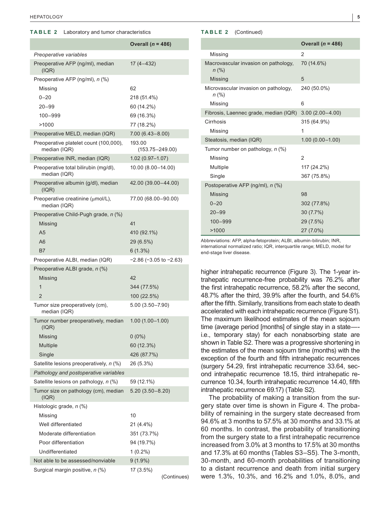#### **TABLE 2** Laboratory and tumor characteristics

|                                                        | Overall ( $n = 486$ )          |
|--------------------------------------------------------|--------------------------------|
| Preoperative variables                                 |                                |
| Preoperative AFP (ng/ml), median<br>(IQR)              | $17(4 - 432)$                  |
| Preoperative AFP (ng/ml), n (%)                        |                                |
| Missing                                                | 62                             |
| $0 - 20$                                               | 218 (51.4%)                    |
| $20 - 99$                                              | 60 (14.2%)                     |
| 100-999                                                | 69 (16.3%)                     |
| >1000                                                  | 77 (18.2%)                     |
| Preoperative MELD, median (IQR)                        | $7.00(6.43 - 8.00)$            |
| Preoperative platelet count (100,000),<br>median (IQR) | 193.00<br>$(153.75 - 249.00)$  |
| Preoperative INR, median (IQR)                         | $1.02(0.97 - 1.07)$            |
| Preoperative total bilirubin (mg/dl),<br>median (IQR)  | 10.00 (8.00-14.00)             |
| Preoperative albumin (g/dl), median<br>( IQR)          | 42.00 (39.00-44.00)            |
| Preoperative creatinine (µmol/L),<br>median (IQR)      | 77.00 (68.00-90.00)            |
| Preoperative Child-Pugh grade, n (%)                   |                                |
| Missing                                                | 41                             |
| A <sub>5</sub>                                         | 410 (92.1%)                    |
| A <sub>6</sub>                                         | 29 (6.5%)                      |
| B7                                                     | 6(1.3%)                        |
| Preoperative ALBI, median (IQR)                        | $-2.86$ ( $-3.05$ to $-2.63$ ) |
| Preoperative ALBI grade, n (%)<br>Missing              | 42                             |
| $\overline{1}$                                         | 344 (77.5%)                    |
| $\overline{2}$                                         | 100 (22.5%)                    |
| Tumor size preoperatively (cm),<br>median (IQR)        | 5.00 (3.50-7.90)               |
| Tumor number preoperatively, median<br>(IQR)           | $1.00(1.00 - 1.00)$            |
| Missing                                                | $0(0\%)$                       |
| Multiple                                               | 60 (12.3%)                     |
| Single                                                 | 426 (87.7%)                    |
| Satellite lesions preoperatively, n (%)                | 26 (5.3%)                      |
| Pathology and postoperative variables                  |                                |
| Satellite lesions on pathology, n (%)                  | 59 (12.1%)                     |
| Tumor size on pathology (cm), median<br>( IQR)         | $5.20(3.50 - 8.20)$            |
| Histologic grade, n (%)                                |                                |
| Missing                                                | 10                             |
| Well differentiated                                    | 21 (4.4%)                      |
| Moderate differentiation                               | 351 (73.7%)                    |
| Poor differentiation                                   | 94 (19.7%)                     |
| Undifferentiated                                       | $1(0.2\%)$                     |
| Not able to be assessed/nonviable                      | $9(1.9\%)$                     |
| Surgical margin positive, n (%)                        | 17 (3.5%)<br>(Continues)       |

#### **TABLE 2** (Continued)

|                                                 | Overall ( $n = 486$ ) |
|-------------------------------------------------|-----------------------|
| Missing                                         | 2                     |
| Macrovascular invasion on pathology,<br>$n$ (%) | 70 (14.6%)            |
| Missing                                         | 5                     |
| Microvascular invasion on pathology,<br>n (%)   | 240 (50.0%)           |
| Missing                                         | 6                     |
| Fibrosis, Laennec grade, median (IQR)           | $3.00(2.00 - 4.00)$   |
| Cirrhosis                                       | 315 (64.9%)           |
| Missing                                         | 1                     |
| Steatosis, median (IQR)                         | $1.00(0.00 - 1.00)$   |
| Tumor number on pathology, n (%)                |                       |
| Missing                                         | $\overline{2}$        |
| Multiple                                        | 117 (24.2%)           |
| Single                                          | 367 (75.8%)           |
| Postoperative AFP (ng/ml), n (%)                |                       |
| Missing                                         | 98                    |
| $0 - 20$                                        | 302 (77.8%)           |
| $20 - 99$                                       | $30(7.7\%)$           |
| 100-999                                         | 29 (7.5%)             |
| >1000                                           | 27 (7.0%)             |

Abbreviations: AFP, alpha-fetoprotein; ALBI, albumin-bilirubin; INR, international normalized ratio; IQR, interquartile range; MELD, model for end-stage liver disease.

higher intrahepatic recurrence (Figure 3). The 1-year intrahepatic recurrence-free probability was 76.2% after the first intrahepatic recurrence, 58.2% after the second, 48.7% after the third, 39.9% after the fourth, and 54.6% after the fifth. Similarly, transitions from each state to death accelerated with each intrahepatic recurrence (Figure S1). The maximum likelihood estimates of the mean sojourn time (average period [months] of single stay in a state— i.e., temporary stay) for each nonabsorbing state are shown in Table S2. There was a progressive shortening in the estimates of the mean sojourn time (months) with the exception of the fourth and fifth intrahepatic recurrences (surgery 54.29, first intrahepatic recurrence 33.64, second intrahepatic recurrence 18.15, third intrahepatic recurrence 10.34, fourth intrahepatic recurrence 14.40, fifth intrahepatic recurrence 69.17) (Table S2).

The probability of making a transition from the surgery state over time is shown in Figure 4. The probability of remaining in the surgery state decreased from 94.6% at 3 months to 57.5% at 30 months and 33.1% at 60 months. In contrast, the probability of transitioning from the surgery state to a first intrahepatic recurrence increased from 3.0% at 3 months to 17.5% at 30 months and 17.3% at 60 months (Tables S3–S5). The 3-month, 30-month, and 60-month probabilities of transitioning to a distant recurrence and death from initial surgery were 1.3%, 10.3%, and 16.2% and 1.0%, 8.0%, and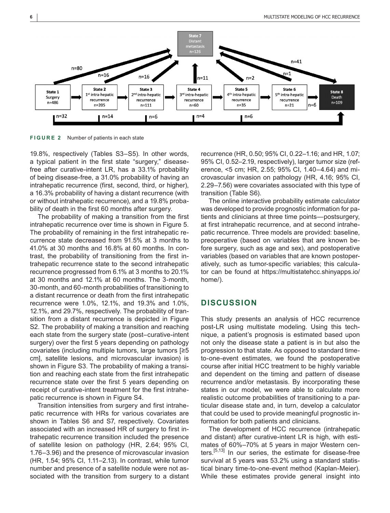

**FIGURE 2** Number of patients in each state

19.8%, respectively (Tables S3–S5). In other words, a typical patient in the first state "surgery," diseasefree after curative-intent LR, has a 33.1% probability of being disease-free, a 31.0% probability of having an intrahepatic recurrence (first, second, third, or higher), a 16.3% probability of having a distant recurrence (with or without intrahepatic recurrence), and a 19.8% probability of death in the first 60 months after surgery.

The probability of making a transition from the first intrahepatic recurrence over time is shown in Figure 5. The probability of remaining in the first intrahepatic recurrence state decreased from 91.5% at 3 months to 41.0% at 30 months and 16.8% at 60 months. In contrast, the probability of transitioning from the first intrahepatic recurrence state to the second intrahepatic recurrence progressed from 6.1% at 3 months to 20.1% at 30 months and 12.1% at 60 months. The 3-month, 30-month, and 60-month probabilities of transitioning to a distant recurrence or death from the first intrahepatic recurrence were 1.0%, 12.1%, and 19.3% and 1.0%, 12.1%, and 29.7%, respectively. The probability of transition from a distant recurrence is depicted in Figure S2. The probability of making a transition and reaching each state from the surgery state (post–curative-intent surgery) over the first 5 years depending on pathology covariates (including multiple tumors, large tumors [≥5 cm], satellite lesions, and microvascular invasion) is shown in Figure S3. The probability of making a transition and reaching each state from the first intrahepatic recurrence state over the first 5 years depending on receipt of curative-intent treatment for the first intrahepatic recurrence is shown in Figure S4.

Transition intensities from surgery and first intrahepatic recurrence with HRs for various covariates are shown in Tables S6 and S7, respectively. Covariates associated with an increased HR of surgery to first intrahepatic recurrence transition included the presence of satellite lesion on pathology (HR, 2.64; 95% CI, 1.76–3.96) and the presence of microvascular invasion (HR, 1.54; 95% CI, 1.11–2.13). In contrast, while tumor number and presence of a satellite nodule were not associated with the transition from surgery to a distant

recurrence (HR, 0.50; 95% CI, 0.22–1.16; and HR, 1.07; 95% CI, 0.52–2.19, respectively), larger tumor size (reference, <5 cm; HR, 2.55; 95% CI, 1.40–4.64) and microvascular invasion on pathology (HR, 4.16; 95% CI, 2.29–7.56) were covariates associated with this type of transition (Table S6).

The online interactive probability estimate calculator was developed to provide prognostic information for patients and clinicians at three time points—postsurgery, at first intrahepatic recurrence, and at second intrahepatic recurrence. Three models are provided: baseline, preoperative (based on variables that are known before surgery, such as age and sex), and postoperative variables (based on variables that are known postoperatively, such as tumor-specific variables; this calculator can be found at [https://multistatehcc.shinyapps.io/](https://multistatehcc.shinyapps.io/home/) [home/](https://multistatehcc.shinyapps.io/home/)).

## **DISCUSSION**

This study presents an analysis of HCC recurrence post-LR using multistate modeling. Using this technique, a patient's prognosis is estimated based upon not only the disease state a patient is in but also the progression to that state. As opposed to standard timeto-one-event estimates, we found the postoperative course after initial HCC treatment to be highly variable and dependent on the timing and pattern of disease recurrence and/or metastasis. By incorporating these states in our model, we were able to calculate more realistic outcome probabilities of transitioning to a particular disease state and, in turn, develop a calculator that could be used to provide meaningful prognostic information for both patients and clinicians.

The development of HCC recurrence (intrahepatic and distant) after curative-intent LR is high, with estimates of 60%–70% at 5 years in major Western centers.[5,13] In our series, the estimate for disease-free survival at 5 years was 53.2% using a standard statistical binary time-to-one-event method (Kaplan-Meier). While these estimates provide general insight into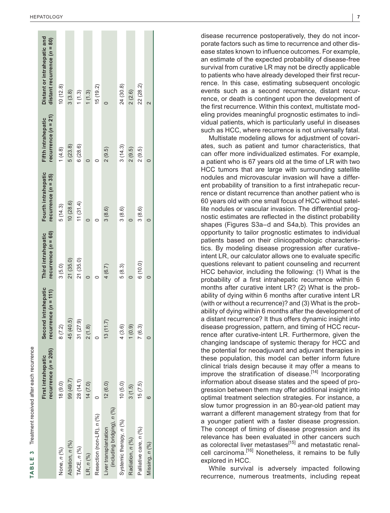disease recurrence postoperatively, they do not incorporate factors such as time to recurrence and other disease states known to influence outcomes. For example, an estimate of the expected probability of disease-free survival from curative LR may not be directly applicable to patients who have already developed their first recurrence. In this case, estimating subsequent oncologic events such as a second recurrence, distant recurrence, or death is contingent upon the development of the first recurrence. Within this context, multistate mod eling provides meaningful prognostic estimates to indi vidual patients, which is particularly useful in diseases such as HCC, where recurrence is not universally fatal.

Multistate modeling allows for adjustment of covari ates, such as patient and tumor characteristics, that can offer more individualized estimates. For example, a patient who is 67 years old at the time of LR with two HCC tumors that are large with surrounding satellite nodules and microvascular invasion will have a different probability of transition to a first intrahepatic recurrence or distant recurrence than another patient who is 60 years old with one small focus of HCC without satel lite nodules or vascular invasion. The differential prog nostic estimates are reflected in the distinct probability shapes (Figures S3a–d and S4a,b). This provides an opportunity to tailor prognostic estimates to individual patients based on their clinicopathologic characteris tics. By modeling disease progression after curativeintent LR, our calculator allows one to evaluate specific questions relevant to patient counseling and recurrent HCC behavior, including the following: (1) What is the probability of a first intrahepatic recurrence within 6 months after curative intent LR? (2) What is the prob ability of dying within 6 months after curative intent LR (with or without a recurrence)? and (3) What is the prob ability of dying within 6 months after the development of a distant recurrence? It thus offers dynamic insight into disease progression, pattern, and timing of HCC recurrence after curative-intent LR. Furthermore, given the changing landscape of systemic therapy for HCC and the potential for neoadjuvant and adjuvant therapies in these population, this model can better inform future clinical trials design because it may offer a means to improve the stratification of disease.<sup>[14]</sup> Incorporating information about disease states and the speed of pro gression between them may offer additional insight into optimal treatment selection strategies. For instance, a slow tumor progression in an 80-year-old patient may warrant a different management strategy from that for a younger patient with a faster disease progression. The concept of timing of disease progression and its relevance has been evaluated in other cancers such as colorectal liver metastases<sup>[15]</sup> and metastatic renalcell carcinoma.<sup>[16]</sup> Nonetheless, it remains to be fully explored in HCC.

While survival is adversely impacted following recurrence, numerous treatments, including repeat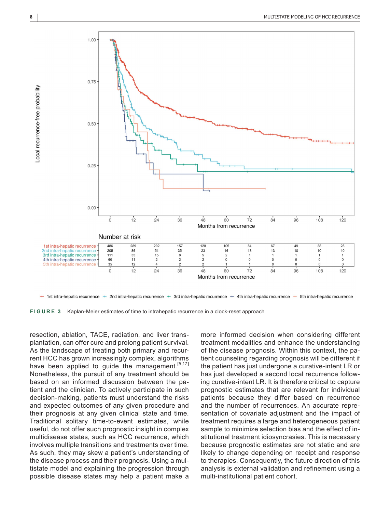

1st intra-hepatic recurrence  $+$  2nd intra-hepatic recurrence  $+$  3rd intra-hepatic recurrence  $+$  4th intra-hepatic recurrence  $+$  5th intra-hepatic recurrence

**FIGURE 3** Kaplan-Meier estimates of time to intrahepatic recurrence in a clock-reset approach

resection, ablation, TACE, radiation, and liver transplantation, can offer cure and prolong patient survival. As the landscape of treating both primary and recurrent HCC has grown increasingly complex, algorithms have been applied to guide the management.<sup>[5,17]</sup> Nonetheless, the pursuit of any treatment should be based on an informed discussion between the patient and the clinician. To actively participate in such decision-making, patients must understand the risks and expected outcomes of any given procedure and their prognosis at any given clinical state and time. Traditional solitary time-to-event estimates, while useful, do not offer such prognostic insight in complex multidisease states, such as HCC recurrence, which involves multiple transitions and treatments over time. As such, they may skew a patient's understanding of the disease process and their prognosis. Using a multistate model and explaining the progression through possible disease states may help a patient make a

more informed decision when considering different treatment modalities and enhance the understanding of the disease prognosis. Within this context, the patient counseling regarding prognosis will be different if the patient has just undergone a curative-intent LR or has just developed a second local recurrence following curative-intent LR. It is therefore critical to capture prognostic estimates that are relevant for individual patients because they differ based on recurrence and the number of recurrences. An accurate representation of covariate adjustment and the impact of treatment requires a large and heterogeneous patient sample to minimize selection bias and the effect of institutional treatment idiosyncrasies. This is necessary because prognostic estimates are not static and are likely to change depending on receipt and response to therapies. Consequently, the future direction of this analysis is external validation and refinement using a multi-institutional patient cohort.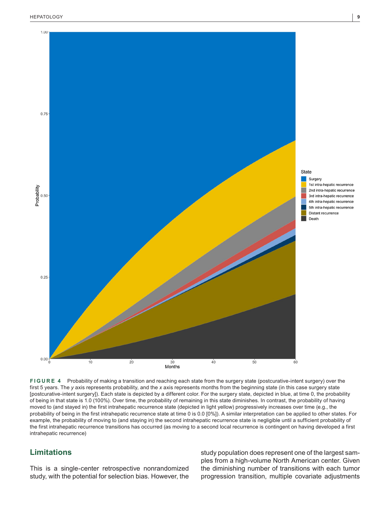

**FIGURE 4** Probability of making a transition and reaching each state from the surgery state (postcurative-intent surgery) over the first 5 years. The *y* axis represents probability, and the *x* axis represents months from the beginning state (in this case surgery state [postcurative-intent surgery]). Each state is depicted by a different color. For the surgery state, depicted in blue, at time 0, the probability of being in that state is 1.0 (100%). Over time, the probability of remaining in this state diminishes. In contrast, the probability of having moved to (and stayed in) the first intrahepatic recurrence state (depicted in light yellow) progressively increases over time (e.g., the probability of being in the first intrahepatic recurrence state at time 0 is 0.0 [0%]). A similar interpretation can be applied to other states. For example, the probability of moving to (and staying in) the second intrahepatic recurrence state is negligible until a sufficient probability of the first intrahepatic recurrence transitions has occurred (as moving to a second local recurrence is contingent on having developed a first intrahepatic recurrence)

## **Limitations**

This is a single-center retrospective nonrandomized study, with the potential for selection bias. However, the

study population does represent one of the largest samples from a high-volume North American center. Given the diminishing number of transitions with each tumor progression transition, multiple covariate adjustments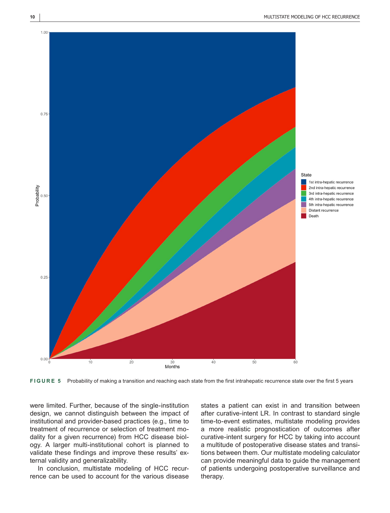

**FIGURE 5** Probability of making a transition and reaching each state from the first intrahepatic recurrence state over the first 5 years

were limited. Further, because of the single-institution design, we cannot distinguish between the impact of institutional and provider-based practices (e.g., time to treatment of recurrence or selection of treatment modality for a given recurrence) from HCC disease biology. A larger multi-institutional cohort is planned to validate these findings and improve these results' external validity and generalizability.

In conclusion, multistate modeling of HCC recurrence can be used to account for the various disease

states a patient can exist in and transition between after curative-intent LR. In contrast to standard single time-to-event estimates, multistate modeling provides a more realistic prognostication of outcomes after curative-intent surgery for HCC by taking into account a multitude of postoperative disease states and transitions between them. Our multistate modeling calculator can provide meaningful data to guide the management of patients undergoing postoperative surveillance and therapy.